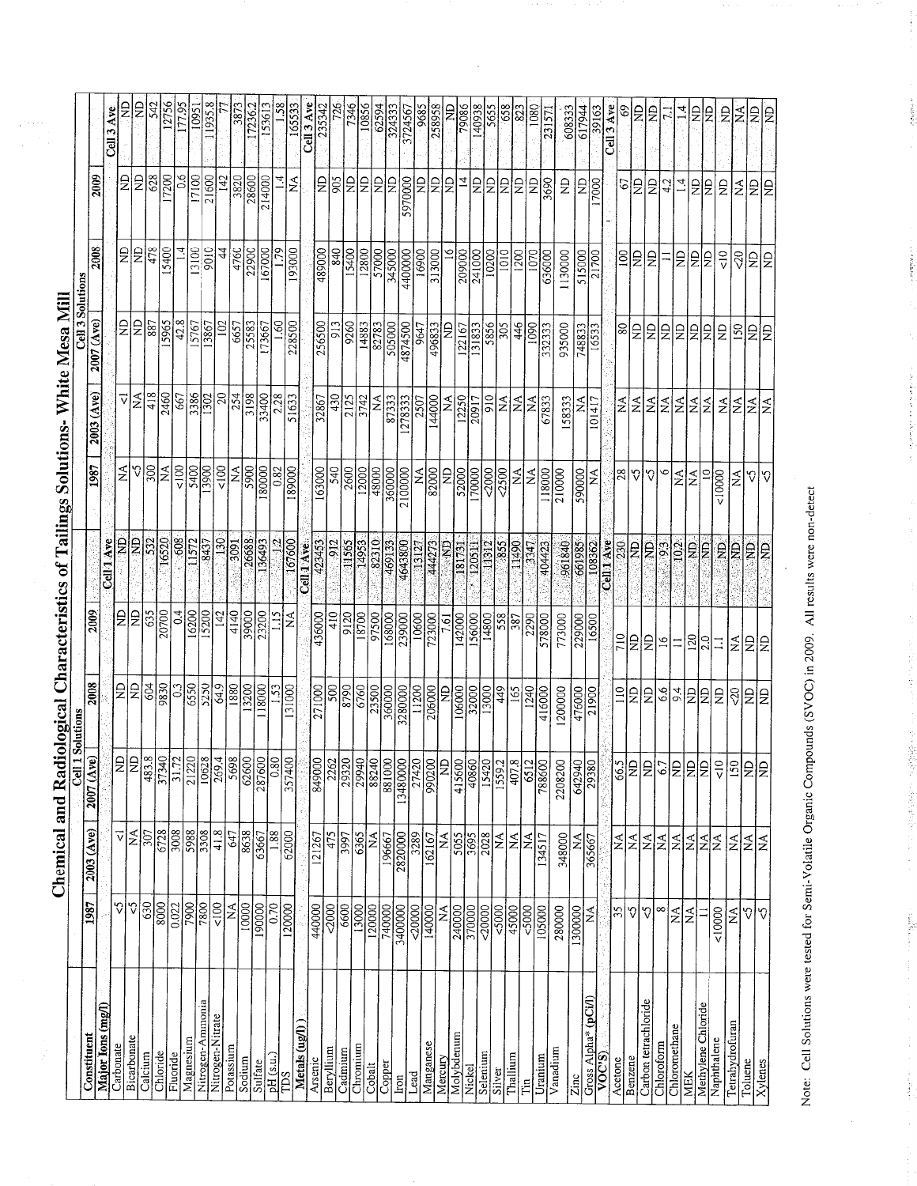|                      |                              |                                | <b>Cell 1 Solutions</b> |                   |                  |                                   |                                     |                                 | Cell 3 Solutions |                     |                                |                  |
|----------------------|------------------------------|--------------------------------|-------------------------|-------------------|------------------|-----------------------------------|-------------------------------------|---------------------------------|------------------|---------------------|--------------------------------|------------------|
| Constituent          | 1987                         | 2003 (Ave)                     | 2007 (Ave)              | 2008              | 2009             |                                   | 1987                                | $2003$ $(Ave)$                  | (Ave)<br>2007    | 2008                | 2009                           |                  |
| Major Ions (mg/l)    |                              |                                |                         |                   |                  | Cell 1 Ave                        |                                     |                                 |                  |                     |                                | Cell 3 Ave       |
| Carbonate            | $\Im$                        | ⊽∣≨∣                           | ≏<br>z                  | £                 | £                | ę                                 | Ń                                   | ▽                               | $\Xi$            | g                   | £                              | $\Xi$            |
| Bicarbonate          | V                            |                                | $\vert \Box \vert$<br>Z | $\overline{a}$    | $\frac{1}{2}$    | E                                 | $\mathcal{C}$                       | $\frac{1}{2}$                   | $\Xi$            | $\overline{B}$      | g                              | g                |
| Calcium              | 630                          | 307                            | ∤∞¦<br>483              | 604               | 635              | 532                               | $\overline{\mathbb{S}}$             | 418                             | $\sqrt{837}$     | 478                 | 628                            | 542              |
| Chloride             | $\frac{8000}{2000}$          | 6728                           | $\frac{37340}{31.72}$   | 9830              | 20700            | 16520                             | ΣÁ                                  | 2460                            | 15965            | 15400               | 17200                          | 12756            |
| Fluoride             | 0.022                        | 3008                           |                         | 0.3               | $\overline{0.4}$ | 88                                | $\overline{50}$                     | 667                             | $\sqrt{42.8}$    |                     | $\frac{6}{2}$                  | 177.95           |
| Magnesium            | $\frac{006}{7}$              | 5988                           |                         | 6550              | 16200            | 11572                             | 5400                                | 3386                            | 15767            | 13100               | 17100                          | 10951            |
| Nitrogen-Ammonia     | 7800                         | 3308                           | 10628                   | 5250              | 15200            | 8437                              | 3900                                | $\overline{302}$                | 13867            | 9010                | 21600                          | 1935.8           |
| Nitrogen-Nitrate     | $\frac{18}{10}$              | 41.8                           | $\overline{4}$<br>269.  | 64.9              | 142              | <b>130</b>                        | $rac{100}{ }$                       |                                 | 102              | 44                  | 142                            |                  |
| Potassium            | $\frac{15}{200}$             | 647                            | 569 <sub>8</sub>        | 1880              | 4140             | 3091                              | ΚÃ                                  | $\frac{20}{254}$                | 6657             | 4760                | 3820                           | 3873             |
| Sodium               |                              | 8638                           | 62600                   | $\frac{13200}{ }$ | 39000            | 26688                             | 5900                                | 3198                            | 25583            | 22900               | 28600                          | 17236.2          |
| Sulfate              | 190000                       | 63667                          | 287600                  | 118000            | 23200            | 136493                            | 180000                              | 33400                           | 173667           | 167000              | 214000                         | 153613           |
| pH(s.u.)             | 0.70                         | 1.88                           | $\overline{0.80}$       |                   |                  |                                   | 0.82                                | 2.28                            | So.              | $\mathcal{E}$       |                                |                  |
| TDS                  | 120000                       | 62000                          | 357400                  | 131000            | ≨                | 167600                            | 189000                              | 51633                           | 228500           | 193000              | $\stackrel{\triangle}{\simeq}$ | 165533           |
| Metals (ug/l)        |                              |                                |                         |                   |                  | Cell 1 Ave                        |                                     |                                 |                  |                     |                                | Cell 3 Ave       |
| Arsenic              | 440000                       | 121267                         | 849000                  | 271000            | 436000           | 423453                            | 163000                              | 32867                           | 256500           | 489000              | le                             | 23534;           |
| Beryllium            | 2000                         | 475                            | 226                     | 500               | $\frac{410}{2}$  | 912                               | 540                                 | 430                             | 913              | 840                 | 905                            | 726              |
| Cadmium              | 6600                         | $\frac{1562}{399}$             | 2932                    | 8790              | 9120             | 11565                             | $\frac{80}{300}$                    | 2125                            | 9260             | 15400               | $\frac{D}{Z}$                  | 7346             |
| Chromium             | 13000                        | 6365                           | 2994                    | 6760              | 18700            | 14953                             | 12000                               | 3742                            | 14883            | 12800               |                                | 10856            |
| Cobalt               | 120000                       | Ź                              | 8824                    | 23500             | 97500            | 82310                             | 48000                               | I∡                              | 82783            | 57000               | 읽                              | 62594            |
| Copper               | 740000                       | 196667                         | 88100                   | 360000            | 168000           | 469133                            | 360000                              | 87333                           | 505000           | 345000              | $\frac{D}{Z}$                  | 324333           |
| Iron                 | 3400000                      | 2820000                        | 1348000                 | 3280000           | 239000           | 4643800                           | 2100000                             | 1278333                         | 4874500          | 4400000             | 5970000                        | 372456           |
| Lead                 | $\frac{1}{20000}$            | 3289                           | 2742                    | 11200             | 10600            | 13127                             |                                     | 2507                            | 9647             | 16900               | g                              | 9685             |
| Manganese            | 140000                       | 162167                         | 99020                   | 206000            | 723000           | 44273                             | 82000                               | 144000                          | 496833           | 313000              | Ι£                             | 258958           |
| Mercury              | $ \vec{z} $                  | ź                              | Z                       | £                 | 7.61             | <b>QN</b>                         | ę                                   | ź                               | £                | $\tilde{=}$         | $\overline{5}$                 | ş                |
| Molybdenum           | 240000                       | 3055                           | 41560                   | 106000            | 142000           | 181731                            | 52000                               | 12250                           | 122167           | 209000              | $\vec{4}$                      | 79086            |
| Nickel               | 370000                       |                                | 40860                   | 32000             | 156000           | 120511                            | 170000                              | 20917                           | 131833           | 241000              | £                              | 140938           |
| Selenium             | 20000                        | 2028                           | 15420                   | 13000             | 14800            | 11312                             | 2000                                | $\frac{10}{2}$                  | 5856             | $\frac{10200}{200}$ | le                             | 5655             |
| Silver               | 5000                         | ΚÁ                             |                         | 449               | 558              | 855                               | 2500                                |                                 | 305              | 1010                |                                | 658              |
| <b>Challium</b>      | 45000                        | $\mathsf{N}\mathsf{A}$         | 407.8                   | 165               | 387              | 11490                             | $\stackrel{\blacktriangle}{\simeq}$ | ≨ ≨                             | 446              | 1200                | 의의                             | $\overline{823}$ |
| É                    | 5000                         | ≾<br>                          | 6512                    | 1240              | 2290             | 3347                              | $\tilde{z}$                         | $\frac{\mathbf{A}}{\mathbf{A}}$ | $\frac{100}{2}$  | 1070                | $\Xi$                          | 1080             |
| Uranium              | 105000                       | 134517                         | 788600                  | 416000            | 578000           | 404423                            | 118000                              | 67833                           | 332333           | 636000              | 3690                           | 23157            |
| Vanadium             | 280000                       | 348000                         | 2208200                 | 1200000           | 773000           | 961840                            | 210000                              | 158333                          | 935000           | 1130000             | £                              | 608333           |
| Zinc                 | 1300000                      | ≨                              | 64294                   | 476000            | 229000           | 661985                            | 590000                              | $\frac{4}{2}$                   | 748833           | 515000              | £                              | 617944           |
| Cross Alpha* (pCi/l) | $\stackrel{\triangle}{\geq}$ | 365667                         | 29380                   | 21900             | 16500            | 108362                            | ž                                   | 101417                          | 16533            | 21700               | 17000                          | 39163            |
| VOCS                 |                              |                                |                         |                   |                  | Cell <sub>1</sub> Ave             |                                     |                                 |                  |                     |                                | Cell 3 Ave       |
| Acetone              | 35                           | $ \vec{A} $                    |                         | $\frac{1}{2}$     | 710              | 230                               | 28                                  | ź                               | $\pmb{\otimes}$  | $\overline{100}$    | 67                             | ᢒ                |
| Benzene              | Ŷ                            | E.                             | ଞ∣≍                     | $\Xi$             | l£               | g                                 |                                     | $\frac{1}{2}$                   | $\Xi$            | £                   | £                              | g                |
| Carbon tetrachloride | Q,                           | $\stackrel{\triangle}{\simeq}$ | ¦ž                      | B                 | <b>Q</b>         | ę                                 | $\sqrt{2}$                          | l≨l                             | $\mathbf{S}$     | £                   | Ğ                              | g                |
| Chloroform           | $\infty$                     | $\stackrel{\triangle}{\geq}$   |                         | 6.6               | $\frac{8}{16}$   | 93                                | ∽                                   | $ \tilde{z} $                   | $\frac{D}{2}$    |                     | 4.2                            | 2                |
| Chloromethane        | $\tilde{\ge}$                | $\stackrel{\Delta}{\geq}$      | 의침법                     | 9.4               | $\mid$ $\equiv$  | 102                               |                                     | ΝA                              | $\Xi$            | $\Xi$               | $\overline{4}$                 |                  |
| MEK                  | Á                            | ΣÁ                             |                         | l≘                | <b>SCI</b>       | È                                 | ≨∣≴                                 | l≨∣≨                            |                  | ΙĐ                  | $\Xi$                          | 오                |
| Methylene Chloride   |                              | ź                              | Σ                       | Ιę                | $\overline{2.0}$ | Jθ                                | $\supseteq$                         |                                 | 이의               | $\frac{1}{2}$       | £                              | ę                |
| Naphthalene          | 10000                        | $\overline{M}$                 | $\breve{\overline{v}}$  | $\vert$ 2         | $\Xi$            | $\mathbf{g}% _{T}=\mathbf{g}_{T}$ | < 10000                             |                                 | $\Xi$            | $rac{10}{\sqrt{2}}$ | $\frac{D}{Z}$                  | $\mathsf{E}$     |
| Tetrahydrofuran      | $\stackrel{\triangle}{\geq}$ | ΚÃ                             | $\overline{5}$          |                   | $ \vec{A} $      | $\overline{B}$                    | Ź                                   | ≨∣≴                             | <b>SC</b>        |                     | $ \tilde{z} $                  | <b>A</b>         |
| Toluene              | Q,                           | <b>AN</b>                      | 티                       | 싱팅동               | 의의               | ę                                 | S.                                  |                                 |                  |                     | 오                              | $\overline{z}$   |
| Xylenes              | $ \mathbf{v} $               |                                |                         |                   |                  | I₹                                | İΩ                                  | <b>NA</b>                       | 회의               | 싱팅동                 | Ιg                             | ę                |

Note: Cell Solutions were tested for Semi-Volatile Organic Compounds (SVOC) in 2009. All results were non-detect Note: Cell Solutions were tested for Semi-Volatile Organic Compounds (SVOC) in 2009. All results were non-dete

 $\ddot{\phantom{0}}$ 

**Contact of the Second Contact of the Contact of Second Contact of the Contact of Second Contact of the Contact of The Contact of The Contact of The Contact of The Contact of The Contact of The Contact of The Contact of Th** 

company of the state of the

 $\label{eq:2.1} \frac{\partial}{\partial t}=\frac{1}{2}\sum_{i=1}^n\frac{1}{2}\sum_{j=1}^n\frac{1}{2}\sum_{j=1}^n\frac{1}{2}\sum_{j=1}^n\frac{1}{2}\sum_{j=1}^n\frac{1}{2}\sum_{j=1}^n\frac{1}{2}\sum_{j=1}^n\frac{1}{2}\sum_{j=1}^n\frac{1}{2}\sum_{j=1}^n\frac{1}{2}\sum_{j=1}^n\frac{1}{2}\sum_{j=1}^n\frac{1}{2}\sum_{j=1}^n\frac{1}{2}\sum_{j=1}^n\frac{1}{2}\$ 

この「新さいまです」 しょうゆう 愛慕 ゆうしん 体を起きない にっしょう

a series and the series of the series of

Chemical and Radiological Characteristics of Tailings Solutions- White Mesa Mill Chemical and Radiological Characteristics of Tailings Solutions- White Mesa Mill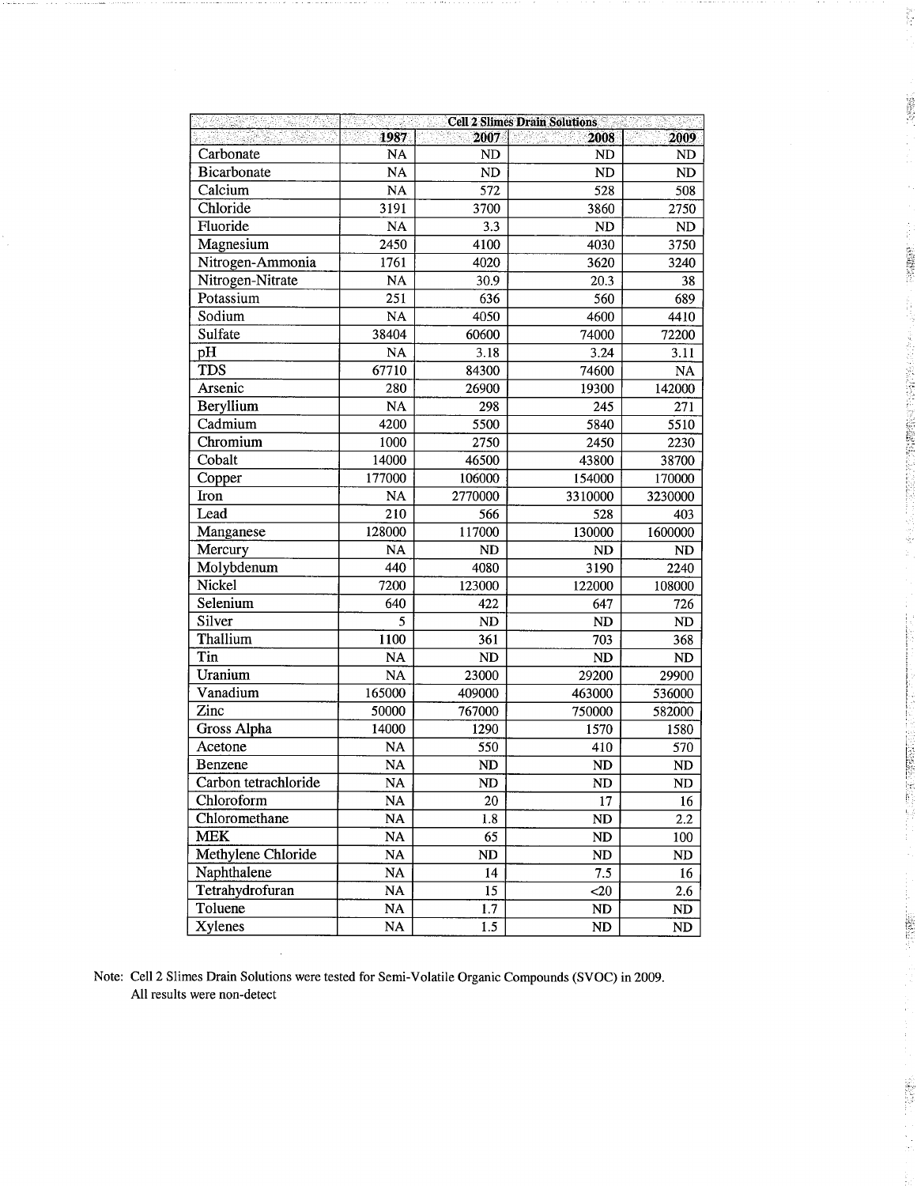|                      |                 |                  | <b>Cell 2 Slimes Drain Solutions</b> |                        |
|----------------------|-----------------|------------------|--------------------------------------|------------------------|
|                      | 1987            | 2007             | 2008                                 | 2009                   |
| Carbonate            | <b>NA</b>       | ND               | <b>ND</b>                            | <b>ND</b>              |
| <b>Bicarbonate</b>   | NA              | ND               | ND                                   | <b>ND</b>              |
| Calcium              | NA              | $\frac{1}{572}$  | 528                                  | 508                    |
| Chloride             | 3191            | 3700             | 3860                                 | 2750                   |
| Fluoride             | <b>NA</b>       | 3.3              | <b>ND</b>                            | <b>ND</b>              |
| Magnesium            | 2450            | 4100             | 4030                                 | 3750                   |
| Nitrogen-Ammonia     | 1761            | 4020             | 3620                                 | 3240                   |
| Nitrogen-Nitrate     | <b>NA</b>       | 30.9             | 20.3                                 | 38                     |
| Potassium            | 251             | 636              | 560                                  | 689                    |
| Sodium               | <b>NA</b>       | 4050             | 4600                                 | 4410                   |
| Sulfate              | 38404           | 60600            | 74000                                | 72200                  |
| pH                   | <b>NA</b>       | 3.18             | 3.24                                 | 3.11                   |
| TDS                  | 67710           | 84300            | 74600                                | <b>NA</b>              |
| Arsenic              | 280             | 26900            | 19300                                | 142000                 |
| Beryllium            | <b>NA</b>       | 298              | 245                                  | 271                    |
| Cadmium              | 4200            | 5500             | 5840                                 | 5510                   |
| Chromium             | 1000            | 2750             | 2450                                 | 2230                   |
| Cobalt               | 14000           | 46500            | 43800                                | 38700                  |
| Copper               | 177000          | 106000           | 154000                               | 170000                 |
| Iron                 | <b>NA</b>       | 2770000          | 3310000                              | 3230000                |
| Lead                 | 210             | 566              | 528                                  | 403                    |
| Manganese            | 128000          | 117000           | 130000                               | 1600000                |
| Mercury              | <b>NA</b>       | <b>ND</b>        | <b>ND</b>                            | <b>ND</b>              |
| Molybdenum           | 440             | 4080             | 3190                                 | 2240                   |
| Nickel               | 7200            | 123000           | 122000                               | 108000                 |
| Selenium             | 640             | 422              | 647                                  | 726                    |
| Silver               | 5               | <b>ND</b>        | <b>ND</b>                            | ND                     |
| Thallium             | 1100            | 361              | 703                                  | 368                    |
| Tin                  | <b>NA</b>       | <b>ND</b>        | <b>ND</b>                            | ND                     |
| Uranium              | <b>NA</b>       | 23000            | 29200                                | 29900                  |
| Vanadium             | 165000          | 409000           | 463000                               | 536000                 |
| Zinc                 | 50000           | 767000           | 750000                               | 582000                 |
| <b>Gross Alpha</b>   | 14000           | 1290             | 1570                                 | 1580                   |
| Acetone              | <b>NA</b>       | 550              | 410                                  | 570                    |
| Benzene              | <b>NA</b>       | <b>ND</b>        | <b>ND</b>                            | <b>ND</b>              |
| Carbon tetrachloride | $\overline{NA}$ | ND               | ND                                   | <b>ND</b>              |
| Chloroform           | NA              | 20               | 17                                   | 16                     |
| Chloromethane        | NA              | 1.8              | ND                                   | 2.2                    |
| <b>MEK</b>           | NA              | 65               | ND                                   | 100                    |
| Methylene Chloride   | NA              | ND               | ND                                   | ND                     |
| Naphthalene          | $\rm NA$        | 14               | 7.5                                  | $16\,$                 |
| Tetrahydrofuran      | NA              | 15               | $20$                                 | 2.6                    |
| Toluene              | NA              | 1.7              | $\mathbf{ND}$                        | ND                     |
| <b>Xylenes</b>       | NA              | $\overline{1.5}$ | $\mathbf{ND}$                        | $\mathbf{N}\mathbf{D}$ |

Į.

10.6%%

**PARTIES (2006)** 

Á

**大学の研究を提案していることには、この人気をおくに、** 

Į.

 $\sqrt{2}$ F.

175549

安定期)

Note: Cell 2 Slimes Drain Solutions were tested for Semi-Volatile Organic Compounds (SVOC) in 2009. All results were non-detect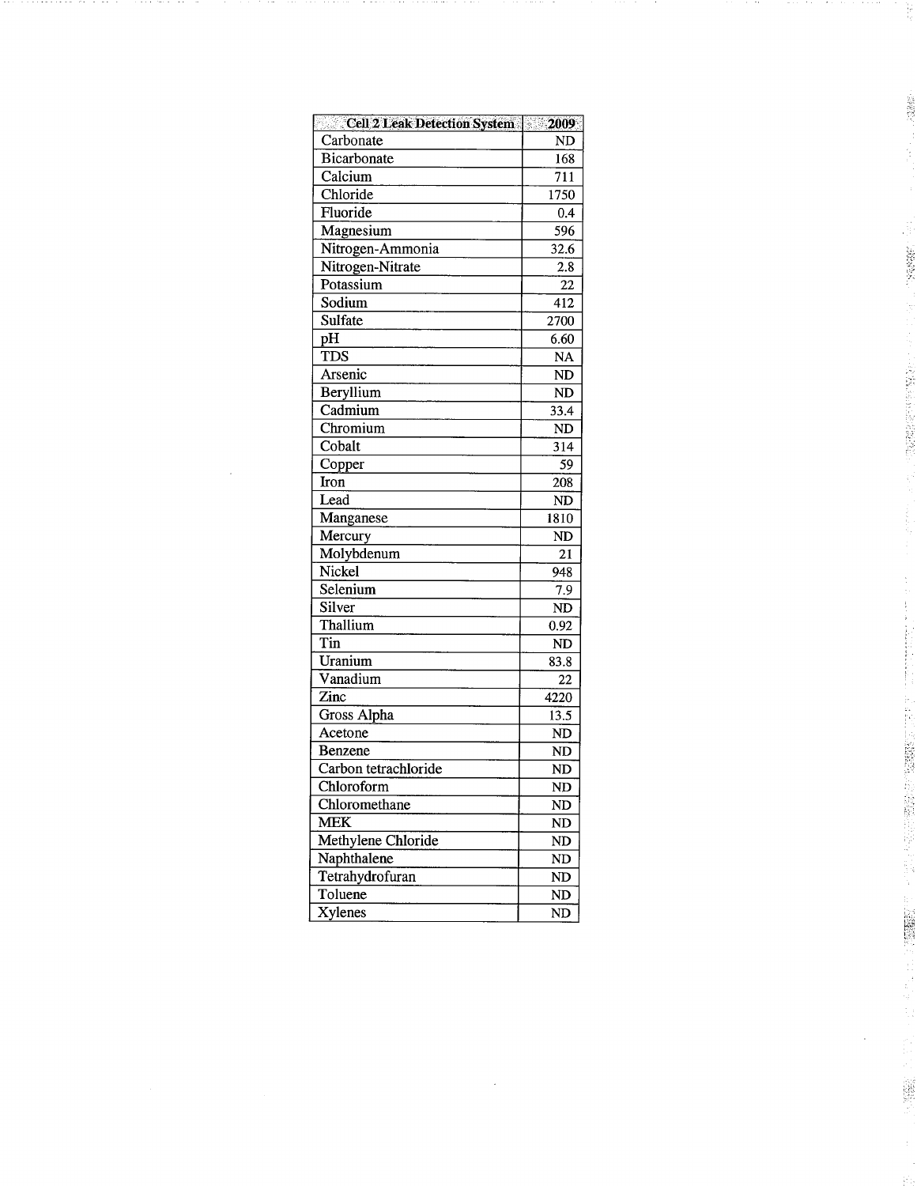| Cell 2 Leak Detection System 2009 |           |
|-----------------------------------|-----------|
| Carbonate                         | ND        |
| <b>Bicarbonate</b>                | 168       |
| Calcium                           | 711       |
| Chloride                          | 1750      |
| Fluoride                          | 0.4       |
| Magnesium                         | 596       |
| Nitrogen-Ammonia                  | 32.6      |
| Nitrogen-Nitrate                  | 2.8       |
| Potassium                         | 22        |
| Sodium                            | 412       |
| Sulfate                           | 2700      |
| pH                                | 6.60      |
| <b>TDS</b>                        | <b>NA</b> |
| Arsenic                           | ND        |
| Beryllium                         | ND        |
| Cadmium                           | 33.4      |
| Chromium                          | <b>ND</b> |
| Cobalt                            | 314       |
| Copper                            | 59        |
| Iron                              | 208       |
| Lead                              | ND        |
| Manganese                         | 1810      |
| Mercury                           | <b>ND</b> |
| Molybdenum                        | 21        |
| Nickel                            | 948       |
| Selenium                          | 7.9       |
| Silver                            | ND        |
| Thallium                          | 0.92      |
| Tin                               | ND        |
| Uranium                           | 83.8      |
| Vanadium                          | 22        |
| Zinc                              | 4220      |
| Gross Alpha                       | 13.5      |
| Acetone                           | ND        |
| Benzene                           | ND        |
| Carbon tetrachloride              | ND        |
| Chloroform                        | ND        |
| Chloromethane                     | ND        |
| MEK                               | ND        |
| Methylene Chloride                | ND        |
| Naphthalene                       | ND        |
| Tetrahydrofuran                   | ND        |
| Toluene                           | ND        |
| Xylenes                           | ND        |

J.

 $\frac{32}{36}$ 

- 2輪機関:コーン・コー

图 1990年12月20日,1990年12月20日,1990年12月20日,1990年12月20日,1990年12月20日,1990年12月20日,1990年12月20日,1990年12月20日,199

「1999年の1999年には、1999年に、1999年に、1999年に、1999年には、1999年に、1999年に、1999年に、1999年には、1999年に、1999年に、1999年に、1999年に 1999年に、19<br>1999年には、1999年には、1999年に、1999年に、1999年には、1999年には、1999年には、1999年には、1999年には、1999年には、1999年には、1999年には、1999年には、1999年には

 $\frac{1}{\sum_{i=1}^{n}}$